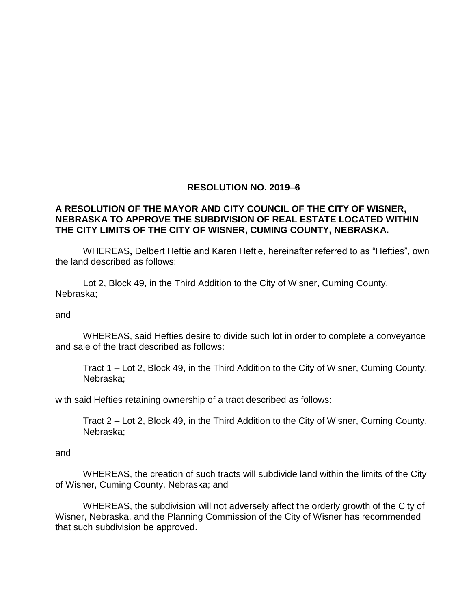## **RESOLUTION NO. 2019–6**

## **A RESOLUTION OF THE MAYOR AND CITY COUNCIL OF THE CITY OF WISNER, NEBRASKA TO APPROVE THE SUBDIVISION OF REAL ESTATE LOCATED WITHIN THE CITY LIMITS OF THE CITY OF WISNER, CUMING COUNTY, NEBRASKA.**

WHEREAS**,** Delbert Heftie and Karen Heftie, hereinafter referred to as "Hefties", own the land described as follows:

Lot 2, Block 49, in the Third Addition to the City of Wisner, Cuming County, Nebraska;

#### and

WHEREAS, said Hefties desire to divide such lot in order to complete a conveyance and sale of the tract described as follows:

Tract 1 – Lot 2, Block 49, in the Third Addition to the City of Wisner, Cuming County, Nebraska;

with said Hefties retaining ownership of a tract described as follows:

Tract 2 – Lot 2, Block 49, in the Third Addition to the City of Wisner, Cuming County, Nebraska;

#### and

WHEREAS, the creation of such tracts will subdivide land within the limits of the City of Wisner, Cuming County, Nebraska; and

WHEREAS, the subdivision will not adversely affect the orderly growth of the City of Wisner, Nebraska, and the Planning Commission of the City of Wisner has recommended that such subdivision be approved.